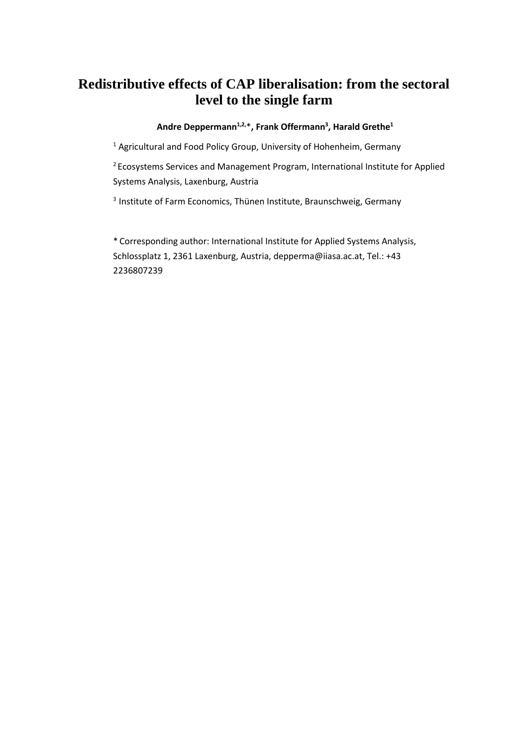# **Redistributive effects of CAP liberalisation: from the sectoral level to the single farm**

# **Andre Deppermann1,2,**\***, Frank Offermann3 , Harald Grethe1**

 $<sup>1</sup>$  Agricultural and Food Policy Group, University of Hohenheim, Germany</sup>

<sup>2</sup> Ecosystems Services and Management Program, International Institute for Applied Systems Analysis, Laxenburg, Austria

<sup>3</sup> Institute of Farm Economics, Thünen Institute, Braunschweig, Germany

\* Corresponding author: International Institute for Applied Systems Analysis, Schlossplatz 1, 2361 Laxenburg, Austria, depperma@iiasa.ac.at, Tel.: +43 2236807239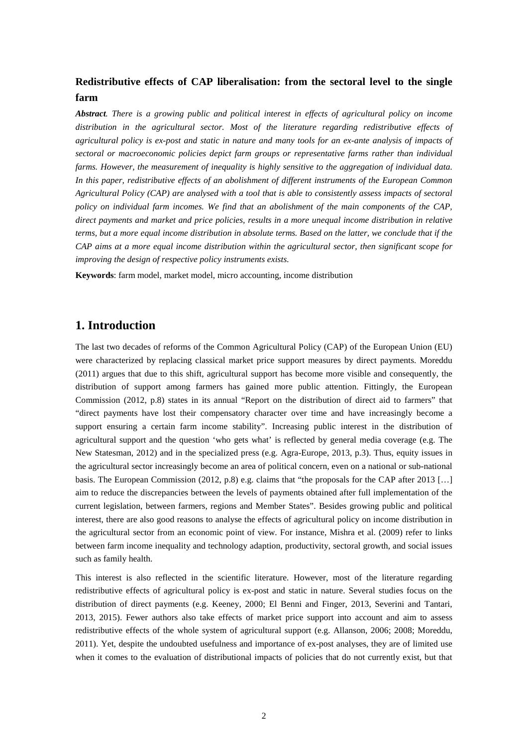# **Redistributive effects of CAP liberalisation: from the sectoral level to the single farm**

*Abstract. There is a growing public and political interest in effects of agricultural policy on income distribution in the agricultural sector. Most of the literature regarding redistributive effects of agricultural policy is ex-post and static in nature and many tools for an ex-ante analysis of impacts of sectoral or macroeconomic policies depict farm groups or representative farms rather than individual farms. However, the measurement of inequality is highly sensitive to the aggregation of individual data. In this paper, redistributive effects of an abolishment of different instruments of the European Common Agricultural Policy (CAP) are analysed with a tool that is able to consistently assess impacts of sectoral policy on individual farm incomes. We find that an abolishment of the main components of the CAP, direct payments and market and price policies, results in a more unequal income distribution in relative terms, but a more equal income distribution in absolute terms. Based on the latter, we conclude that if the CAP aims at a more equal income distribution within the agricultural sector, then significant scope for improving the design of respective policy instruments exists.*

**Keywords**: farm model, market model, micro accounting, income distribution

# **1. Introduction**

The last two decades of reforms of the Common Agricultural Policy (CAP) of the European Union (EU) were characterized by replacing classical market price support measures by direct payments. Moreddu (2011) argues that due to this shift, agricultural support has become more visible and consequently, the distribution of support among farmers has gained more public attention. Fittingly, the European Commission (2012, p.8) states in its annual "Report on the distribution of direct aid to farmers" that "direct payments have lost their compensatory character over time and have increasingly become a support ensuring a certain farm income stability". Increasing public interest in the distribution of agricultural support and the question 'who gets what' is reflected by general media coverage (e.g. The New Statesman, 2012) and in the specialized press (e.g. Agra-Europe, 2013, p.3). Thus, equity issues in the agricultural sector increasingly become an area of political concern, even on a national or sub-national basis. The European Commission (2012, p.8) e.g. claims that "the proposals for the CAP after 2013 […] aim to reduce the discrepancies between the levels of payments obtained after full implementation of the current legislation, between farmers, regions and Member States". Besides growing public and political interest, there are also good reasons to analyse the effects of agricultural policy on income distribution in the agricultural sector from an economic point of view. For instance, Mishra et al. (2009) refer to links between farm income inequality and technology adaption, productivity, sectoral growth, and social issues such as family health.

This interest is also reflected in the scientific literature. However, most of the literature regarding redistributive effects of agricultural policy is ex-post and static in nature. Several studies focus on the distribution of direct payments (e.g. Keeney, 2000; El Benni and Finger, 2013, Severini and Tantari, 2013, 2015). Fewer authors also take effects of market price support into account and aim to assess redistributive effects of the whole system of agricultural support (e.g. Allanson, 2006; 2008; Moreddu, 2011). Yet, despite the undoubted usefulness and importance of ex-post analyses, they are of limited use when it comes to the evaluation of distributional impacts of policies that do not currently exist, but that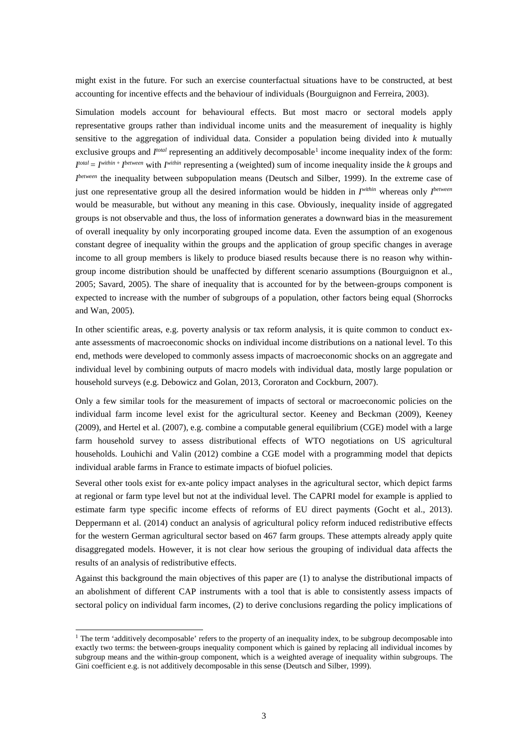might exist in the future. For such an exercise counterfactual situations have to be constructed, at best accounting for incentive effects and the behaviour of individuals (Bourguignon and Ferreira, 2003).

Simulation models account for behavioural effects. But most macro or sectoral models apply representative groups rather than individual income units and the measurement of inequality is highly sensitive to the aggregation of individual data. Consider a population being divided into *k* mutually exclusive groups and *I<sup>total</sup>* representing an additively decomposable<sup>[1](#page-2-0)</sup> income inequality index of the form: *I total* = *Iwithin* <sup>+</sup>*I between* with *Iwithin* representing a (weighted) sum of income inequality inside the *k* groups and *I*<sup>between</sup> the inequality between subpopulation means (Deutsch and Silber, 1999). In the extreme case of just one representative group all the desired information would be hidden in *Iwithin* whereas only *I between* would be measurable, but without any meaning in this case. Obviously, inequality inside of aggregated groups is not observable and thus, the loss of information generates a downward bias in the measurement of overall inequality by only incorporating grouped income data. Even the assumption of an exogenous constant degree of inequality within the groups and the application of group specific changes in average income to all group members is likely to produce biased results because there is no reason why withingroup income distribution should be unaffected by different scenario assumptions (Bourguignon et al., 2005; Savard, 2005). The share of inequality that is accounted for by the between-groups component is expected to increase with the number of subgroups of a population, other factors being equal (Shorrocks and Wan, 2005).

In other scientific areas, e.g. poverty analysis or tax reform analysis, it is quite common to conduct exante assessments of macroeconomic shocks on individual income distributions on a national level. To this end, methods were developed to commonly assess impacts of macroeconomic shocks on an aggregate and individual level by combining outputs of macro models with individual data, mostly large population or household surveys (e.g. Debowicz and Golan, 2013, Cororaton and Cockburn, 2007).

Only a few similar tools for the measurement of impacts of sectoral or macroeconomic policies on the individual farm income level exist for the agricultural sector. Keeney and Beckman (2009), Keeney (2009), and Hertel et al. (2007), e.g. combine a computable general equilibrium (CGE) model with a large farm household survey to assess distributional effects of WTO negotiations on US agricultural households. Louhichi and Valin (2012) combine a CGE model with a programming model that depicts individual arable farms in France to estimate impacts of biofuel policies.

Several other tools exist for ex-ante policy impact analyses in the agricultural sector, which depict farms at regional or farm type level but not at the individual level. The CAPRI model for example is applied to estimate farm type specific income effects of reforms of EU direct payments (Gocht et al., 2013). Deppermann et al. (2014) conduct an analysis of agricultural policy reform induced redistributive effects for the western German agricultural sector based on 467 farm groups. These attempts already apply quite disaggregated models. However, it is not clear how serious the grouping of individual data affects the results of an analysis of redistributive effects.

Against this background the main objectives of this paper are (1) to analyse the distributional impacts of an abolishment of different CAP instruments with a tool that is able to consistently assess impacts of sectoral policy on individual farm incomes, (2) to derive conclusions regarding the policy implications of

<span id="page-2-0"></span><sup>&</sup>lt;sup>1</sup> The term 'additively decomposable' refers to the property of an inequality index, to be subgroup decomposable into exactly two terms: the between-groups inequality component which is gained by replacing all individual incomes by subgroup means and the within-group component, which is a weighted average of inequality within subgroups. The Gini coefficient e.g. is not additively decomposable in this sense (Deutsch and Silber, 1999).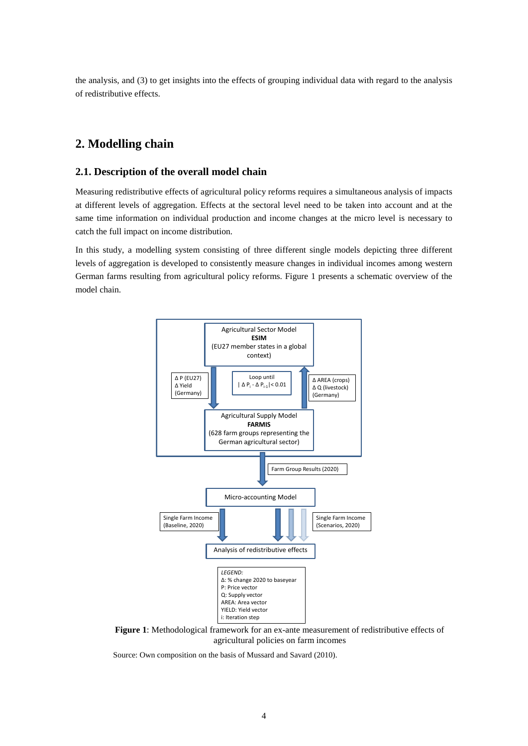the analysis, and (3) to get insights into the effects of grouping individual data with regard to the analysis of redistributive effects.

# **2. Modelling chain**

### **2.1. Description of the overall model chain**

Measuring redistributive effects of agricultural policy reforms requires a simultaneous analysis of impacts at different levels of aggregation. Effects at the sectoral level need to be taken into account and at the same time information on individual production and income changes at the micro level is necessary to catch the full impact on income distribution.

In this study, a modelling system consisting of three different single models depicting three different levels of aggregation is developed to consistently measure changes in individual incomes among western German farms resulting from agricultural policy reforms. Figure 1 presents a schematic overview of the model chain.



**Figure 1**: Methodological framework for an ex-ante measurement of redistributive effects of agricultural policies on farm incomes

Source: Own composition on the basis of Mussard and Savard (2010).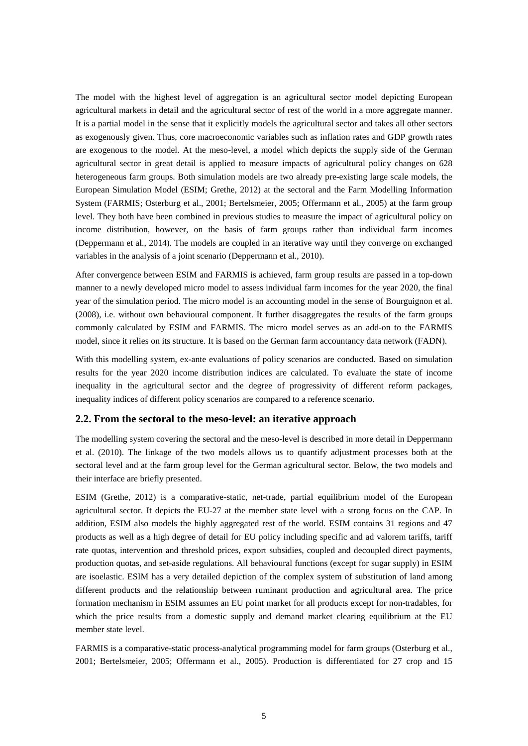The model with the highest level of aggregation is an agricultural sector model depicting European agricultural markets in detail and the agricultural sector of rest of the world in a more aggregate manner. It is a partial model in the sense that it explicitly models the agricultural sector and takes all other sectors as exogenously given. Thus, core macroeconomic variables such as inflation rates and GDP growth rates are exogenous to the model. At the meso-level, a model which depicts the supply side of the German agricultural sector in great detail is applied to measure impacts of agricultural policy changes on 628 heterogeneous farm groups. Both simulation models are two already pre-existing large scale models, the European Simulation Model (ESIM; Grethe, 2012) at the sectoral and the Farm Modelling Information System (FARMIS; Osterburg et al., 2001; Bertelsmeier, 2005; Offermann et al., 2005) at the farm group level. They both have been combined in previous studies to measure the impact of agricultural policy on income distribution, however, on the basis of farm groups rather than individual farm incomes (Deppermann et al., 2014). The models are coupled in an iterative way until they converge on exchanged variables in the analysis of a joint scenario (Deppermann et al., 2010).

After convergence between ESIM and FARMIS is achieved, farm group results are passed in a top-down manner to a newly developed micro model to assess individual farm incomes for the year 2020, the final year of the simulation period. The micro model is an accounting model in the sense of Bourguignon et al. (2008), i.e. without own behavioural component. It further disaggregates the results of the farm groups commonly calculated by ESIM and FARMIS. The micro model serves as an add-on to the FARMIS model, since it relies on its structure. It is based on the German farm accountancy data network (FADN).

With this modelling system, ex-ante evaluations of policy scenarios are conducted. Based on simulation results for the year 2020 income distribution indices are calculated. To evaluate the state of income inequality in the agricultural sector and the degree of progressivity of different reform packages, inequality indices of different policy scenarios are compared to a reference scenario.

### **2.2. From the sectoral to the meso-level: an iterative approach**

The modelling system covering the sectoral and the meso-level is described in more detail in Deppermann et al. (2010). The linkage of the two models allows us to quantify adjustment processes both at the sectoral level and at the farm group level for the German agricultural sector. Below, the two models and their interface are briefly presented.

ESIM (Grethe, 2012) is a comparative-static, net-trade, partial equilibrium model of the European agricultural sector. It depicts the EU-27 at the member state level with a strong focus on the CAP. In addition, ESIM also models the highly aggregated rest of the world. ESIM contains 31 regions and 47 products as well as a high degree of detail for EU policy including specific and ad valorem tariffs, tariff rate quotas, intervention and threshold prices, export subsidies, coupled and decoupled direct payments, production quotas, and set-aside regulations. All behavioural functions (except for sugar supply) in ESIM are isoelastic. ESIM has a very detailed depiction of the complex system of substitution of land among different products and the relationship between ruminant production and agricultural area. The price formation mechanism in ESIM assumes an EU point market for all products except for non-tradables, for which the price results from a domestic supply and demand market clearing equilibrium at the EU member state level.

FARMIS is a comparative-static process-analytical programming model for farm groups (Osterburg et al., 2001; Bertelsmeier, 2005; Offermann et al., 2005). Production is differentiated for 27 crop and 15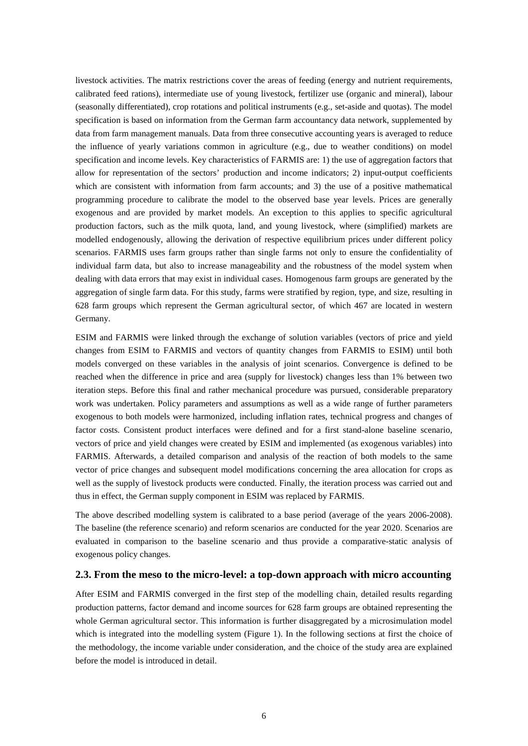livestock activities. The matrix restrictions cover the areas of feeding (energy and nutrient requirements, calibrated feed rations), intermediate use of young livestock, fertilizer use (organic and mineral), labour (seasonally differentiated), crop rotations and political instruments (e.g., set-aside and quotas). The model specification is based on information from the German farm accountancy data network, supplemented by data from farm management manuals. Data from three consecutive accounting years is averaged to reduce the influence of yearly variations common in agriculture (e.g., due to weather conditions) on model specification and income levels. Key characteristics of FARMIS are: 1) the use of aggregation factors that allow for representation of the sectors' production and income indicators; 2) input-output coefficients which are consistent with information from farm accounts; and 3) the use of a positive mathematical programming procedure to calibrate the model to the observed base year levels. Prices are generally exogenous and are provided by market models. An exception to this applies to specific agricultural production factors, such as the milk quota, land, and young livestock, where (simplified) markets are modelled endogenously, allowing the derivation of respective equilibrium prices under different policy scenarios. FARMIS uses farm groups rather than single farms not only to ensure the confidentiality of individual farm data, but also to increase manageability and the robustness of the model system when dealing with data errors that may exist in individual cases. Homogenous farm groups are generated by the aggregation of single farm data. For this study, farms were stratified by region, type, and size, resulting in 628 farm groups which represent the German agricultural sector, of which 467 are located in western Germany.

ESIM and FARMIS were linked through the exchange of solution variables (vectors of price and yield changes from ESIM to FARMIS and vectors of quantity changes from FARMIS to ESIM) until both models converged on these variables in the analysis of joint scenarios. Convergence is defined to be reached when the difference in price and area (supply for livestock) changes less than 1% between two iteration steps. Before this final and rather mechanical procedure was pursued, considerable preparatory work was undertaken. Policy parameters and assumptions as well as a wide range of further parameters exogenous to both models were harmonized, including inflation rates, technical progress and changes of factor costs. Consistent product interfaces were defined and for a first stand-alone baseline scenario, vectors of price and yield changes were created by ESIM and implemented (as exogenous variables) into FARMIS. Afterwards, a detailed comparison and analysis of the reaction of both models to the same vector of price changes and subsequent model modifications concerning the area allocation for crops as well as the supply of livestock products were conducted. Finally, the iteration process was carried out and thus in effect, the German supply component in ESIM was replaced by FARMIS.

The above described modelling system is calibrated to a base period (average of the years 2006-2008). The baseline (the reference scenario) and reform scenarios are conducted for the year 2020. Scenarios are evaluated in comparison to the baseline scenario and thus provide a comparative-static analysis of exogenous policy changes.

#### **2.3. From the meso to the micro-level: a top-down approach with micro accounting**

After ESIM and FARMIS converged in the first step of the modelling chain, detailed results regarding production patterns, factor demand and income sources for 628 farm groups are obtained representing the whole German agricultural sector. This information is further disaggregated by a microsimulation model which is integrated into the modelling system (Figure 1). In the following sections at first the choice of the methodology, the income variable under consideration, and the choice of the study area are explained before the model is introduced in detail.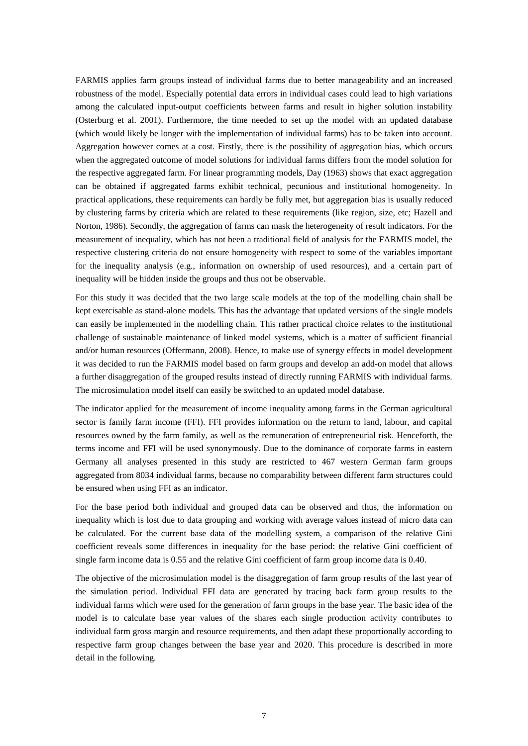FARMIS applies farm groups instead of individual farms due to better manageability and an increased robustness of the model. Especially potential data errors in individual cases could lead to high variations among the calculated input-output coefficients between farms and result in higher solution instability (Osterburg et al. 2001). Furthermore, the time needed to set up the model with an updated database (which would likely be longer with the implementation of individual farms) has to be taken into account. Aggregation however comes at a cost. Firstly, there is the possibility of aggregation bias, which occurs when the aggregated outcome of model solutions for individual farms differs from the model solution for the respective aggregated farm. For linear programming models, Day (1963) shows that exact aggregation can be obtained if aggregated farms exhibit technical, pecunious and institutional homogeneity. In practical applications, these requirements can hardly be fully met, but aggregation bias is usually reduced by clustering farms by criteria which are related to these requirements (like region, size, etc; Hazell and Norton, 1986). Secondly, the aggregation of farms can mask the heterogeneity of result indicators. For the measurement of inequality, which has not been a traditional field of analysis for the FARMIS model, the respective clustering criteria do not ensure homogeneity with respect to some of the variables important for the inequality analysis (e.g., information on ownership of used resources), and a certain part of inequality will be hidden inside the groups and thus not be observable.

For this study it was decided that the two large scale models at the top of the modelling chain shall be kept exercisable as stand-alone models. This has the advantage that updated versions of the single models can easily be implemented in the modelling chain. This rather practical choice relates to the institutional challenge of sustainable maintenance of linked model systems, which is a matter of sufficient financial and/or human resources (Offermann, 2008). Hence, to make use of synergy effects in model development it was decided to run the FARMIS model based on farm groups and develop an add-on model that allows a further disaggregation of the grouped results instead of directly running FARMIS with individual farms. The microsimulation model itself can easily be switched to an updated model database.

The indicator applied for the measurement of income inequality among farms in the German agricultural sector is family farm income (FFI). FFI provides information on the return to land, labour, and capital resources owned by the farm family, as well as the remuneration of entrepreneurial risk. Henceforth, the terms income and FFI will be used synonymously. Due to the dominance of corporate farms in eastern Germany all analyses presented in this study are restricted to 467 western German farm groups aggregated from 8034 individual farms, because no comparability between different farm structures could be ensured when using FFI as an indicator.

For the base period both individual and grouped data can be observed and thus, the information on inequality which is lost due to data grouping and working with average values instead of micro data can be calculated. For the current base data of the modelling system, a comparison of the relative Gini coefficient reveals some differences in inequality for the base period: the relative Gini coefficient of single farm income data is 0.55 and the relative Gini coefficient of farm group income data is 0.40.

The objective of the microsimulation model is the disaggregation of farm group results of the last year of the simulation period. Individual FFI data are generated by tracing back farm group results to the individual farms which were used for the generation of farm groups in the base year. The basic idea of the model is to calculate base year values of the shares each single production activity contributes to individual farm gross margin and resource requirements, and then adapt these proportionally according to respective farm group changes between the base year and 2020. This procedure is described in more detail in the following.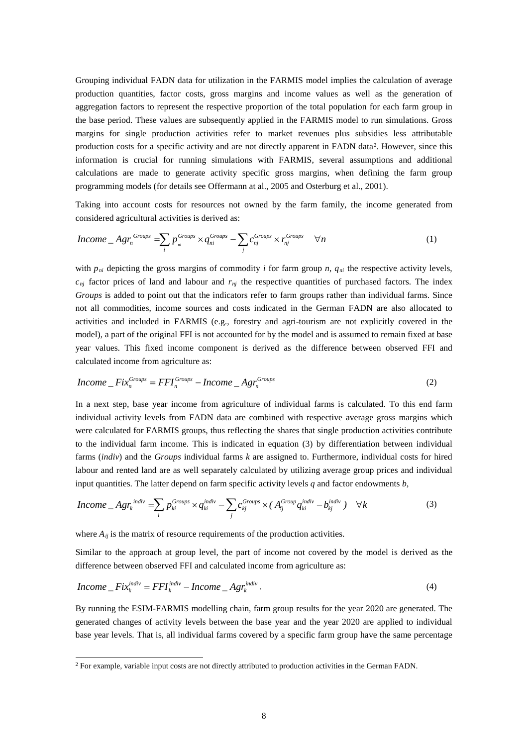Grouping individual FADN data for utilization in the FARMIS model implies the calculation of average production quantities, factor costs, gross margins and income values as well as the generation of aggregation factors to represent the respective proportion of the total population for each farm group in the base period. These values are subsequently applied in the FARMIS model to run simulations. Gross margins for single production activities refer to market revenues plus subsidies less attributable production costs for a specific activity and are not directly apparent in FADN data<sup>2</sup>. However, since this information is crucial for running simulations with FARMIS, several assumptions and additional calculations are made to generate activity specific gross margins, when defining the farm group programming models (for details see Offermann at al., 2005 and Osterburg et al., 2001).

Taking into account costs for resources not owned by the farm family, the income generated from considered agricultural activities is derived as:

$$
Income\_Agr_n^{Groups} = \sum_{i} p_{ni}^{Groups} \times q_{ni}^{Groups} - \sum_{j} c_{nj}^{Groups} \times r_{nj}^{Groups} \quad \forall n
$$
 (1)

with  $p_{ni}$  depicting the gross margins of commodity *i* for farm group *n*,  $q_{ni}$  the respective activity levels,  $c_{nj}$  factor prices of land and labour and  $r_{nj}$  the respective quantities of purchased factors. The index *Groups* is added to point out that the indicators refer to farm groups rather than individual farms. Since not all commodities, income sources and costs indicated in the German FADN are also allocated to activities and included in FARMIS (e.g., forestry and agri-tourism are not explicitly covered in the model), a part of the original FFI is not accounted for by the model and is assumed to remain fixed at base year values. This fixed income component is derived as the difference between observed FFI and calculated income from agriculture as:

$$
Income\_Fix_n^{Groups} = FFI_n^{Groups} - Income\_Agr_n^{Groups} \tag{2}
$$

In a next step, base year income from agriculture of individual farms is calculated. To this end farm individual activity levels from FADN data are combined with respective average gross margins which were calculated for FARMIS groups, thus reflecting the shares that single production activities contribute to the individual farm income. This is indicated in equation (3) by differentiation between individual farms (*indiv*) and the *Groups* individual farms *k* are assigned to. Furthermore, individual costs for hired labour and rented land are as well separately calculated by utilizing average group prices and individual input quantities. The latter depend on farm specific activity levels *q* and factor endowments *b*,

$$
Income\_Agr_k^{indiv} = \sum_i p_{ki}^{Groups} \times q_{ki}^{indiv} - \sum_j c_{kj}^{Groups} \times (A_{ij}^{Group}q_{ki}^{indiv} - b_{kj}^{indiv}) \quad \forall k
$$
 (3)

where  $A_{ij}$  is the matrix of resource requirements of the production activities.

Similar to the approach at group level, the part of income not covered by the model is derived as the difference between observed FFI and calculated income from agriculture as:

$$
Income\_Fix_k^{indiv}=FFI_k^{indiv}-Income\_Agr_k^{indiv}.
$$
\n(4)

By running the ESIM-FARMIS modelling chain, farm group results for the year 2020 are generated. The generated changes of activity levels between the base year and the year 2020 are applied to individual base year levels. That is, all individual farms covered by a specific farm group have the same percentage

<span id="page-7-0"></span> <sup>2</sup> For example, variable input costs are not directly attributed to production activities in the German FADN.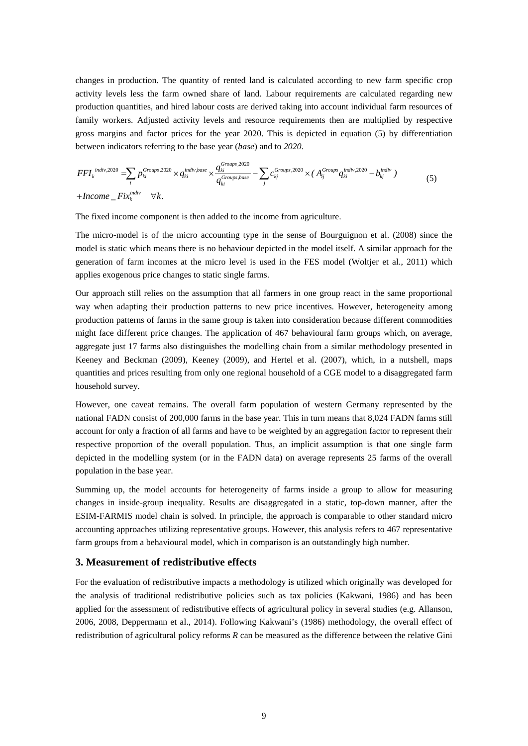changes in production. The quantity of rented land is calculated according to new farm specific crop activity levels less the farm owned share of land. Labour requirements are calculated regarding new production quantities, and hired labour costs are derived taking into account individual farm resources of family workers. Adjusted activity levels and resource requirements then are multiplied by respective gross margins and factor prices for the year 2020. This is depicted in equation (5) by differentiation between indicators referring to the base year (*base*) and to *2020*.

$$
FFI_k^{indiv,2020} = \sum_i p_{ki}^{Groups,2020} \times q_{ki}^{indiv,base} \times \frac{q_{ki}^{Groups,2020}}{q_{ki}^{Groups,base}} - \sum_j c_{kj}^{Groups,2020} \times (A_{ij}^{Groups} q_{ki}^{indiv,2020} - b_{kj}^{indiv})
$$
\n
$$
+ Income\_Fix_k^{indiv} \quad \forall k.
$$
\n
$$
(5)
$$

The fixed income component is then added to the income from agriculture.

The micro-model is of the micro accounting type in the sense of Bourguignon et al. (2008) since the model is static which means there is no behaviour depicted in the model itself. A similar approach for the generation of farm incomes at the micro level is used in the FES model (Woltjer et al., 2011) which applies exogenous price changes to static single farms.

Our approach still relies on the assumption that all farmers in one group react in the same proportional way when adapting their production patterns to new price incentives. However, heterogeneity among production patterns of farms in the same group is taken into consideration because different commodities might face different price changes. The application of 467 behavioural farm groups which, on average, aggregate just 17 farms also distinguishes the modelling chain from a similar methodology presented in Keeney and Beckman (2009), Keeney (2009), and Hertel et al. (2007), which, in a nutshell, maps quantities and prices resulting from only one regional household of a CGE model to a disaggregated farm household survey.

However, one caveat remains. The overall farm population of western Germany represented by the national FADN consist of 200,000 farms in the base year. This in turn means that 8,024 FADN farms still account for only a fraction of all farms and have to be weighted by an aggregation factor to represent their respective proportion of the overall population. Thus, an implicit assumption is that one single farm depicted in the modelling system (or in the FADN data) on average represents 25 farms of the overall population in the base year.

Summing up, the model accounts for heterogeneity of farms inside a group to allow for measuring changes in inside-group inequality. Results are disaggregated in a static, top-down manner, after the ESIM-FARMIS model chain is solved. In principle, the approach is comparable to other standard micro accounting approaches utilizing representative groups. However, this analysis refers to 467 representative farm groups from a behavioural model, which in comparison is an outstandingly high number.

#### **3. Measurement of redistributive effects**

For the evaluation of redistributive impacts a methodology is utilized which originally was developed for the analysis of traditional redistributive policies such as tax policies (Kakwani, 1986) and has been applied for the assessment of redistributive effects of agricultural policy in several studies (e.g. Allanson, 2006, 2008, Deppermann et al., 2014). Following Kakwani's (1986) methodology, the overall effect of redistribution of agricultural policy reforms *R* can be measured as the difference between the relative Gini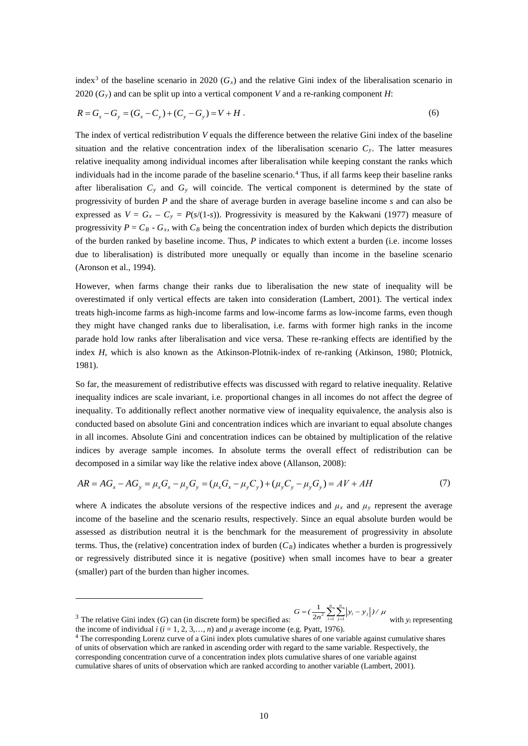index<sup>[3](#page-9-0)</sup> of the baseline scenario in 2020 ( $G_x$ ) and the relative Gini index of the liberalisation scenario in 2020  $(G<sub>y</sub>)$  and can be split up into a vertical component *V* and a re-ranking component *H*:

$$
R = G_x - G_y = (G_x - C_y) + (C_y - G_y) = V + H.
$$
\n(6)

The index of vertical redistribution *V* equals the difference between the relative Gini index of the baseline situation and the relative concentration index of the liberalisation scenario  $C_y$ . The latter measures relative inequality among individual incomes after liberalisation while keeping constant the ranks which individuals had in the income parade of the baseline scenario.[4](#page-9-1) Thus, if all farms keep their baseline ranks after liberalisation  $C_y$  and  $G_y$  will coincide. The vertical component is determined by the state of progressivity of burden *P* and the share of average burden in average baseline income *s* and can also be expressed as  $V = G_x - C_y = P(s/(1-s))$ . Progressivity is measured by the Kakwani (1977) measure of progressivity  $P = C_B - G_x$ , with  $C_B$  being the concentration index of burden which depicts the distribution of the burden ranked by baseline income. Thus, *P* indicates to which extent a burden (i.e. income losses due to liberalisation) is distributed more unequally or equally than income in the baseline scenario (Aronson et al., 1994).

However, when farms change their ranks due to liberalisation the new state of inequality will be overestimated if only vertical effects are taken into consideration (Lambert, 2001). The vertical index treats high-income farms as high-income farms and low-income farms as low-income farms, even though they might have changed ranks due to liberalisation, i.e. farms with former high ranks in the income parade hold low ranks after liberalisation and vice versa. These re-ranking effects are identified by the index *H*, which is also known as the Atkinson-Plotnik-index of re-ranking (Atkinson, 1980; Plotnick, 1981).

So far, the measurement of redistributive effects was discussed with regard to relative inequality. Relative inequality indices are scale invariant, i.e. proportional changes in all incomes do not affect the degree of inequality. To additionally reflect another normative view of inequality equivalence, the analysis also is conducted based on absolute Gini and concentration indices which are invariant to equal absolute changes in all incomes. Absolute Gini and concentration indices can be obtained by multiplication of the relative indices by average sample incomes. In absolute terms the overall effect of redistribution can be decomposed in a similar way like the relative index above (Allanson, 2008):

$$
AR = AG_x - AG_y = \mu_x G_x - \mu_y G_y = (\mu_x G_x - \mu_y C_y) + (\mu_y C_y - \mu_y G_y) = AV + AH
$$
\n(7)

where A indicates the absolute versions of the respective indices and  $\mu_x$  and  $\mu_y$  represent the average income of the baseline and the scenario results, respectively. Since an equal absolute burden would be assessed as distribution neutral it is the benchmark for the measurement of progressivity in absolute terms. Thus, the (relative) concentration index of burden  $(C_B)$  indicates whether a burden is progressively or regressively distributed since it is negative (positive) when small incomes have to bear a greater (smaller) part of the burden than higher incomes.

<span id="page-9-0"></span> $3$  The relative Gini index (G) can (in discrete form) be specified as:  $-1$   $j=1$ 1 2 *n n*  $G = \left(\frac{1}{2n^2} \sum_{i=1}^n \sum_{j=1}^n \left|y_i - y_j\right|\right) / \mu$  with  $y_i$  representing the income of individual  $i$  ( $i = 1, 2, 3, \ldots, n$ ) and  $\mu$  average income (e.g. Pyatt, 1976).

-

<span id="page-9-1"></span><sup>4</sup> The corresponding Lorenz curve of a Gini index plots cumulative shares of one variable against cumulative shares of units of observation which are ranked in ascending order with regard to the same variable. Respectively, the corresponding concentration curve of a concentration index plots cumulative shares of one variable against cumulative shares of units of observation which are ranked according to another variable (Lambert, 2001).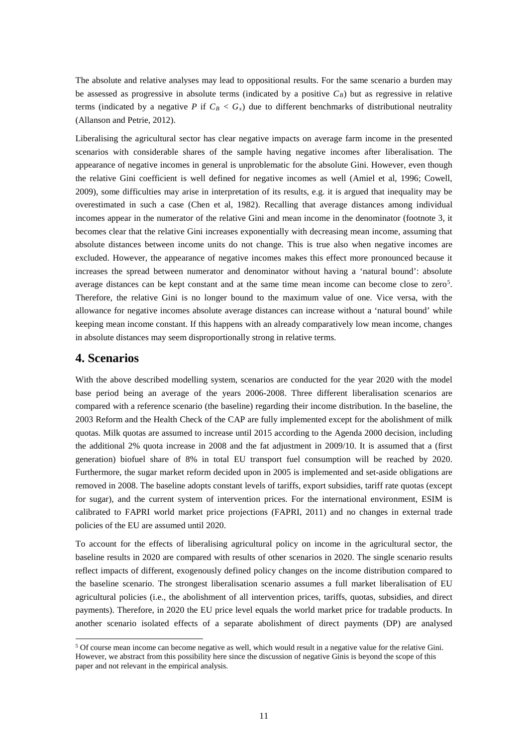The absolute and relative analyses may lead to oppositional results. For the same scenario a burden may be assessed as progressive in absolute terms (indicated by a positive  $C_B$ ) but as regressive in relative terms (indicated by a negative *P* if  $C_B < G_x$ ) due to different benchmarks of distributional neutrality (Allanson and Petrie, 2012).

Liberalising the agricultural sector has clear negative impacts on average farm income in the presented scenarios with considerable shares of the sample having negative incomes after liberalisation. The appearance of negative incomes in general is unproblematic for the absolute Gini. However, even though the relative Gini coefficient is well defined for negative incomes as well (Amiel et al, 1996; Cowell, 2009), some difficulties may arise in interpretation of its results, e.g. it is argued that inequality may be overestimated in such a case (Chen et al, 1982). Recalling that average distances among individual incomes appear in the numerator of the relative Gini and mean income in the denominator (footnote 3, it becomes clear that the relative Gini increases exponentially with decreasing mean income, assuming that absolute distances between income units do not change. This is true also when negative incomes are excluded. However, the appearance of negative incomes makes this effect more pronounced because it increases the spread between numerator and denominator without having a 'natural bound': absolute average distances can be kept constant and at the same time mean income can become close to zero<sup>[5](#page-10-0)</sup>. Therefore, the relative Gini is no longer bound to the maximum value of one. Vice versa, with the allowance for negative incomes absolute average distances can increase without a 'natural bound' while keeping mean income constant. If this happens with an already comparatively low mean income, changes in absolute distances may seem disproportionally strong in relative terms.

### **4. Scenarios**

With the above described modelling system, scenarios are conducted for the year 2020 with the model base period being an average of the years 2006-2008. Three different liberalisation scenarios are compared with a reference scenario (the baseline) regarding their income distribution. In the baseline, the 2003 Reform and the Health Check of the CAP are fully implemented except for the abolishment of milk quotas. Milk quotas are assumed to increase until 2015 according to the Agenda 2000 decision, including the additional 2% quota increase in 2008 and the fat adjustment in 2009/10. It is assumed that a (first generation) biofuel share of 8% in total EU transport fuel consumption will be reached by 2020. Furthermore, the sugar market reform decided upon in 2005 is implemented and set-aside obligations are removed in 2008. The baseline adopts constant levels of tariffs, export subsidies, tariff rate quotas (except for sugar), and the current system of intervention prices. For the international environment, ESIM is calibrated to FAPRI world market price projections (FAPRI, 2011) and no changes in external trade policies of the EU are assumed until 2020.

To account for the effects of liberalising agricultural policy on income in the agricultural sector, the baseline results in 2020 are compared with results of other scenarios in 2020. The single scenario results reflect impacts of different, exogenously defined policy changes on the income distribution compared to the baseline scenario. The strongest liberalisation scenario assumes a full market liberalisation of EU agricultural policies (i.e., the abolishment of all intervention prices, tariffs, quotas, subsidies, and direct payments). Therefore, in 2020 the EU price level equals the world market price for tradable products. In another scenario isolated effects of a separate abolishment of direct payments (DP) are analysed

<span id="page-10-0"></span> <sup>5</sup> Of course mean income can become negative as well, which would result in a negative value for the relative Gini. However, we abstract from this possibility here since the discussion of negative Ginis is beyond the scope of this paper and not relevant in the empirical analysis.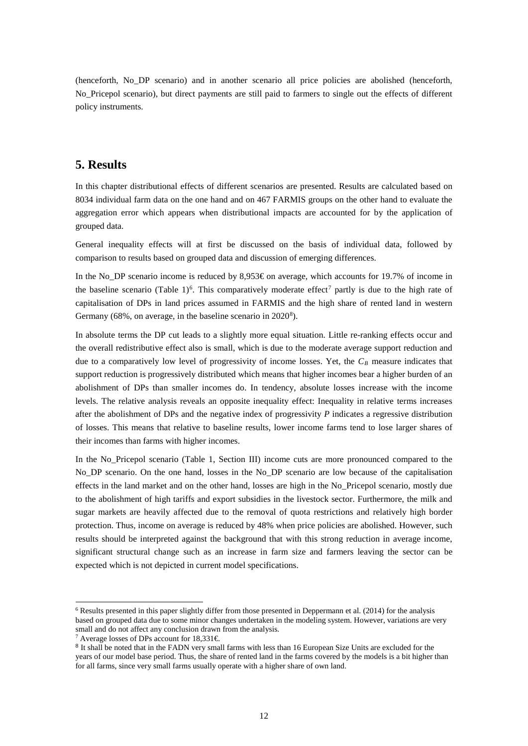(henceforth, No\_DP scenario) and in another scenario all price policies are abolished (henceforth, No\_Pricepol scenario), but direct payments are still paid to farmers to single out the effects of different policy instruments.

### **5. Results**

In this chapter distributional effects of different scenarios are presented. Results are calculated based on 8034 individual farm data on the one hand and on 467 FARMIS groups on the other hand to evaluate the aggregation error which appears when distributional impacts are accounted for by the application of grouped data.

General inequality effects will at first be discussed on the basis of individual data, followed by comparison to results based on grouped data and discussion of emerging differences.

In the No\_DP scenario income is reduced by 8,953€ on average, which accounts for 19.7% of income in the baseline scenario (Table 1)<sup>[6](#page-11-0)</sup>. This comparatively moderate effect<sup>[7](#page-11-1)</sup> partly is due to the high rate of capitalisation of DPs in land prices assumed in FARMIS and the high share of rented land in western Germany (6[8](#page-11-2)%, on average, in the baseline scenario in  $2020^8$ ).

In absolute terms the DP cut leads to a slightly more equal situation. Little re-ranking effects occur and the overall redistributive effect also is small, which is due to the moderate average support reduction and due to a comparatively low level of progressivity of income losses. Yet, the  $C_B$  measure indicates that support reduction is progressively distributed which means that higher incomes bear a higher burden of an abolishment of DPs than smaller incomes do. In tendency, absolute losses increase with the income levels. The relative analysis reveals an opposite inequality effect: Inequality in relative terms increases after the abolishment of DPs and the negative index of progressivity *P* indicates a regressive distribution of losses. This means that relative to baseline results, lower income farms tend to lose larger shares of their incomes than farms with higher incomes.

In the No\_Pricepol scenario (Table 1, Section III) income cuts are more pronounced compared to the No\_DP scenario. On the one hand, losses in the No\_DP scenario are low because of the capitalisation effects in the land market and on the other hand, losses are high in the No\_Pricepol scenario, mostly due to the abolishment of high tariffs and export subsidies in the livestock sector. Furthermore, the milk and sugar markets are heavily affected due to the removal of quota restrictions and relatively high border protection. Thus, income on average is reduced by 48% when price policies are abolished. However, such results should be interpreted against the background that with this strong reduction in average income, significant structural change such as an increase in farm size and farmers leaving the sector can be expected which is not depicted in current model specifications.

<span id="page-11-0"></span> $6$  Results presented in this paper slightly differ from those presented in Deppermann et al. (2014) for the analysis based on grouped data due to some minor changes undertaken in the modeling system. However, variations are very small and do not affect any conclusion drawn from the analysis.

<span id="page-11-2"></span><span id="page-11-1"></span><sup>&</sup>lt;sup>7</sup> Average losses of DPs account for  $18,331 \in$ .

<sup>&</sup>lt;sup>8</sup> It shall be noted that in the FADN very small farms with less than 16 European Size Units are excluded for the years of our model base period. Thus, the share of rented land in the farms covered by the models is a bit higher than for all farms, since very small farms usually operate with a higher share of own land.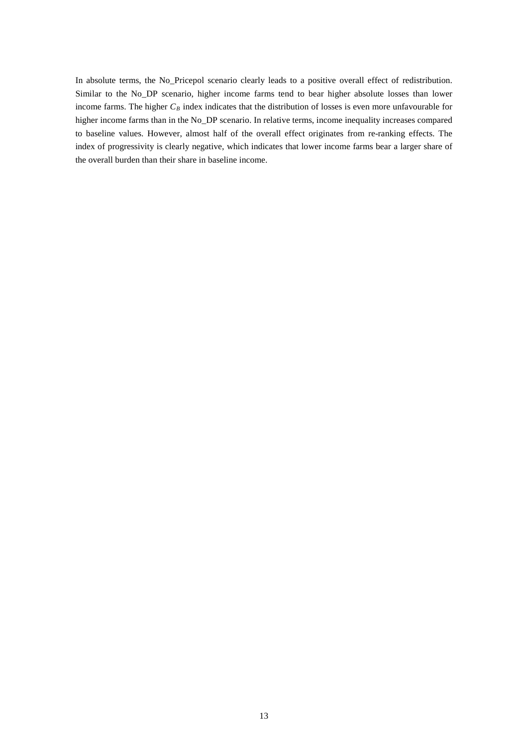In absolute terms, the No\_Pricepol scenario clearly leads to a positive overall effect of redistribution. Similar to the No\_DP scenario, higher income farms tend to bear higher absolute losses than lower income farms. The higher  $C_B$  index indicates that the distribution of losses is even more unfavourable for higher income farms than in the No\_DP scenario. In relative terms, income inequality increases compared to baseline values. However, almost half of the overall effect originates from re-ranking effects. The index of progressivity is clearly negative, which indicates that lower income farms bear a larger share of the overall burden than their share in baseline income.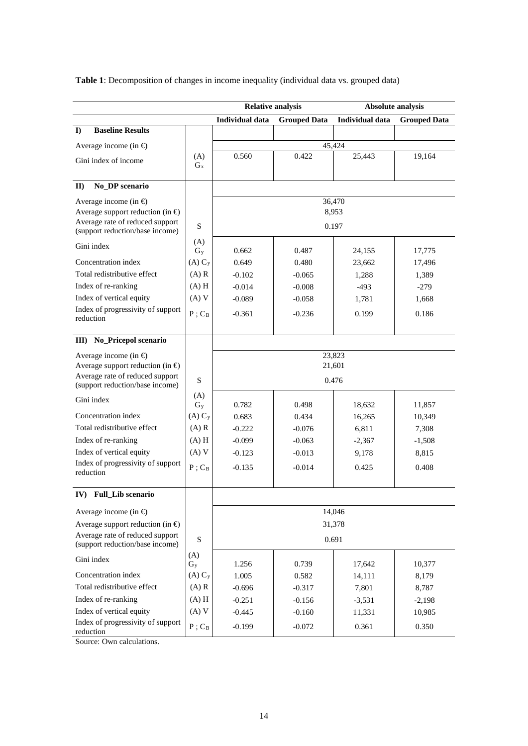**Table 1**: Decomposition of changes in income inequality (individual data vs. grouped data)

|                                                                    |                | <b>Relative analysis</b> |                     | <b>Absolute analysis</b> |                     |
|--------------------------------------------------------------------|----------------|--------------------------|---------------------|--------------------------|---------------------|
|                                                                    |                | <b>Individual data</b>   | <b>Grouped Data</b> | <b>Individual data</b>   | <b>Grouped Data</b> |
| <b>Baseline Results</b><br>$\bf{D}$                                |                |                          |                     |                          |                     |
| Average income (in $\bigoplus$                                     |                | 45,424                   |                     |                          |                     |
| Gini index of income                                               | (A)            | 0.560                    | 0.422               | 25,443                   | 19,164              |
|                                                                    | $G_{x}$        |                          |                     |                          |                     |
| No_DP scenario<br>$\mathbf{II}$                                    |                |                          |                     |                          |                     |
| Average income (in $\Theta$ )                                      |                | 36,470<br>8,953          |                     |                          |                     |
| Average support reduction (in $\bigoplus$                          |                |                          |                     |                          |                     |
| Average rate of reduced support<br>(support reduction/base income) | S              | 0.197                    |                     |                          |                     |
| Gini index                                                         | (A)            |                          |                     |                          |                     |
|                                                                    | $G_v$          | 0.662                    | 0.487               | 24,155                   | 17,775              |
| Concentration index                                                | $(A) C_y$      | 0.649                    | 0.480               | 23,662                   | 17,496              |
| Total redistributive effect                                        | $(A)$ R        | $-0.102$                 | $-0.065$            | 1,288                    | 1,389               |
| Index of re-ranking                                                | $(A)$ H        | $-0.014$                 | $-0.008$            | $-493$                   | $-279$              |
| Index of vertical equity                                           | (A) V          | $-0.089$                 | $-0.058$            | 1,781                    | 1,668               |
| Index of progressivity of support<br>reduction                     | $P$ ; $C_B$    | $-0.361$                 | $-0.236$            | 0.199                    | 0.186               |
|                                                                    |                |                          |                     |                          |                     |
| III) No_Pricepol scenario                                          |                |                          |                     |                          |                     |
| Average income (in $\bigoplus$                                     |                | 23,823                   |                     |                          |                     |
| Average support reduction (in $\oplus$                             |                | 21,601                   |                     |                          |                     |
| Average rate of reduced support<br>(support reduction/base income) | S              | 0.476                    |                     |                          |                     |
| Gini index                                                         | (A)<br>$G_v$   | 0.782                    | 0.498               | 18,632                   | 11,857              |
| Concentration index                                                | $(A) C_y$      | 0.683                    | 0.434               | 16,265                   | 10,349              |
| Total redistributive effect                                        | $(A)$ R        | $-0.222$                 | $-0.076$            | 6,811                    | 7,308               |
| Index of re-ranking                                                | $(A)$ H        | $-0.099$                 | $-0.063$            | $-2,367$                 | $-1,508$            |
| Index of vertical equity                                           | (A) V          | $-0.123$                 | $-0.013$            | 9,178                    | 8,815               |
| Index of progressivity of support                                  | $P$ ; $C_B$    | $-0.135$                 | $-0.014$            | 0.425                    | 0.408               |
| reduction                                                          |                |                          |                     |                          |                     |
| IV) Full Lib scenario                                              |                |                          |                     |                          |                     |
| Average income (in $\oplus$                                        |                | 14,046                   |                     |                          |                     |
| Average support reduction (in $\oplus$                             |                | 31,378                   |                     |                          |                     |
| Average rate of reduced support<br>(support reduction/base income) | S              | 0.691                    |                     |                          |                     |
| Gini index                                                         | (A)<br>$G_{y}$ | 1.256                    | 0.739               | 17,642                   | 10,377              |
| Concentration index                                                | $(A) C_y$      | 1.005                    | 0.582               | 14,111                   | 8,179               |
| Total redistributive effect                                        | $(A)$ R        | $-0.696$                 | $-0.317$            | 7,801                    | 8,787               |
| Index of re-ranking                                                | $(A)$ H        | $-0.251$                 | $-0.156$            | $-3,531$                 | $-2,198$            |
| Index of vertical equity                                           | (A) V          | $-0.445$                 | $-0.160$            | 11,331                   | 10,985              |
| Index of progressivity of support<br>reduction                     | $P$ ; $C_B$    | $-0.199$                 | $-0.072$            | 0.361                    | 0.350               |

Source: Own calculations.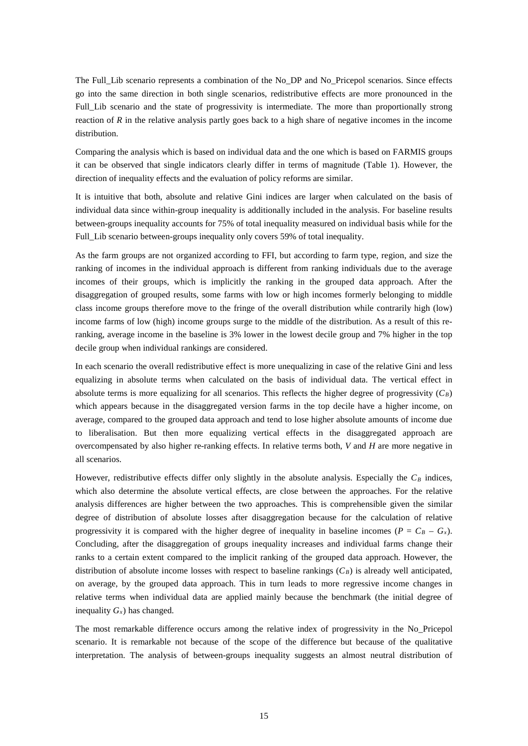The Full\_Lib scenario represents a combination of the No\_DP and No\_Pricepol scenarios. Since effects go into the same direction in both single scenarios, redistributive effects are more pronounced in the Full Lib scenario and the state of progressivity is intermediate. The more than proportionally strong reaction of *R* in the relative analysis partly goes back to a high share of negative incomes in the income distribution.

Comparing the analysis which is based on individual data and the one which is based on FARMIS groups it can be observed that single indicators clearly differ in terms of magnitude (Table 1). However, the direction of inequality effects and the evaluation of policy reforms are similar.

It is intuitive that both, absolute and relative Gini indices are larger when calculated on the basis of individual data since within-group inequality is additionally included in the analysis. For baseline results between-groups inequality accounts for 75% of total inequality measured on individual basis while for the Full\_Lib scenario between-groups inequality only covers 59% of total inequality.

As the farm groups are not organized according to FFI, but according to farm type, region, and size the ranking of incomes in the individual approach is different from ranking individuals due to the average incomes of their groups, which is implicitly the ranking in the grouped data approach. After the disaggregation of grouped results, some farms with low or high incomes formerly belonging to middle class income groups therefore move to the fringe of the overall distribution while contrarily high (low) income farms of low (high) income groups surge to the middle of the distribution. As a result of this reranking, average income in the baseline is 3% lower in the lowest decile group and 7% higher in the top decile group when individual rankings are considered.

In each scenario the overall redistributive effect is more unequalizing in case of the relative Gini and less equalizing in absolute terms when calculated on the basis of individual data. The vertical effect in absolute terms is more equalizing for all scenarios. This reflects the higher degree of progressivity  $(C_B)$ which appears because in the disaggregated version farms in the top decile have a higher income, on average, compared to the grouped data approach and tend to lose higher absolute amounts of income due to liberalisation. But then more equalizing vertical effects in the disaggregated approach are overcompensated by also higher re-ranking effects. In relative terms both, *V* and *H* are more negative in all scenarios.

However, redistributive effects differ only slightly in the absolute analysis. Especially the  $C_B$  indices, which also determine the absolute vertical effects, are close between the approaches. For the relative analysis differences are higher between the two approaches. This is comprehensible given the similar degree of distribution of absolute losses after disaggregation because for the calculation of relative progressivity it is compared with the higher degree of inequality in baseline incomes ( $P = C_B - G_x$ ). Concluding, after the disaggregation of groups inequality increases and individual farms change their ranks to a certain extent compared to the implicit ranking of the grouped data approach. However, the distribution of absolute income losses with respect to baseline rankings  $(C_B)$  is already well anticipated, on average, by the grouped data approach. This in turn leads to more regressive income changes in relative terms when individual data are applied mainly because the benchmark (the initial degree of inequality  $G_x$ ) has changed.

The most remarkable difference occurs among the relative index of progressivity in the No\_Pricepol scenario. It is remarkable not because of the scope of the difference but because of the qualitative interpretation. The analysis of between-groups inequality suggests an almost neutral distribution of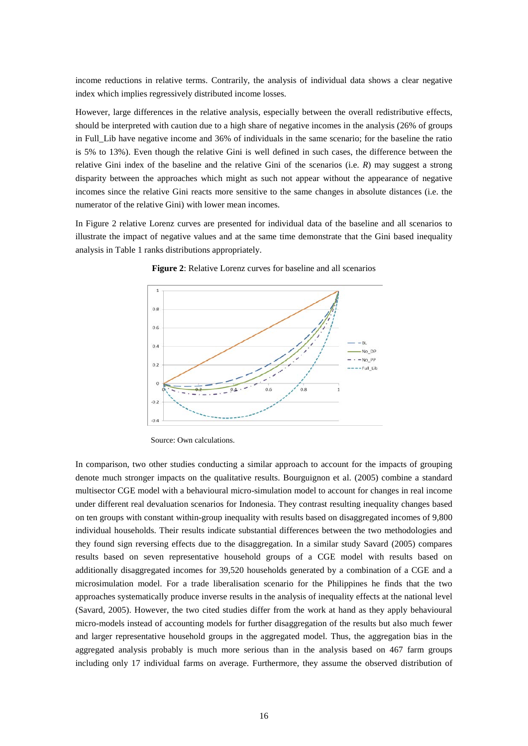income reductions in relative terms. Contrarily, the analysis of individual data shows a clear negative index which implies regressively distributed income losses.

However, large differences in the relative analysis, especially between the overall redistributive effects, should be interpreted with caution due to a high share of negative incomes in the analysis (26% of groups in Full\_Lib have negative income and 36% of individuals in the same scenario; for the baseline the ratio is 5% to 13%). Even though the relative Gini is well defined in such cases, the difference between the relative Gini index of the baseline and the relative Gini of the scenarios (i.e. *R*) may suggest a strong disparity between the approaches which might as such not appear without the appearance of negative incomes since the relative Gini reacts more sensitive to the same changes in absolute distances (i.e. the numerator of the relative Gini) with lower mean incomes.

In Figure 2 relative Lorenz curves are presented for individual data of the baseline and all scenarios to illustrate the impact of negative values and at the same time demonstrate that the Gini based inequality analysis in Table 1 ranks distributions appropriately.



**Figure 2**: Relative Lorenz curves for baseline and all scenarios

Source: Own calculations.

In comparison, two other studies conducting a similar approach to account for the impacts of grouping denote much stronger impacts on the qualitative results. Bourguignon et al. (2005) combine a standard multisector CGE model with a behavioural micro-simulation model to account for changes in real income under different real devaluation scenarios for Indonesia. They contrast resulting inequality changes based on ten groups with constant within-group inequality with results based on disaggregated incomes of 9,800 individual households. Their results indicate substantial differences between the two methodologies and they found sign reversing effects due to the disaggregation. In a similar study Savard (2005) compares results based on seven representative household groups of a CGE model with results based on additionally disaggregated incomes for 39,520 households generated by a combination of a CGE and a microsimulation model. For a trade liberalisation scenario for the Philippines he finds that the two approaches systematically produce inverse results in the analysis of inequality effects at the national level (Savard, 2005). However, the two cited studies differ from the work at hand as they apply behavioural micro-models instead of accounting models for further disaggregation of the results but also much fewer and larger representative household groups in the aggregated model. Thus, the aggregation bias in the aggregated analysis probably is much more serious than in the analysis based on 467 farm groups including only 17 individual farms on average. Furthermore, they assume the observed distribution of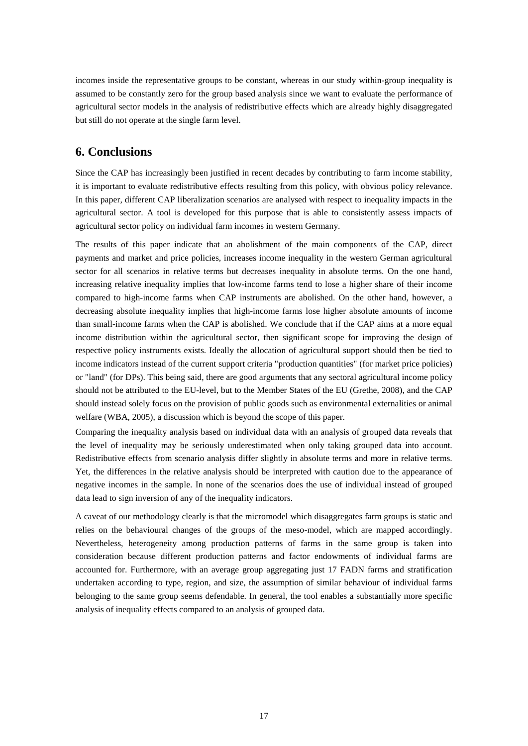incomes inside the representative groups to be constant, whereas in our study within-group inequality is assumed to be constantly zero for the group based analysis since we want to evaluate the performance of agricultural sector models in the analysis of redistributive effects which are already highly disaggregated but still do not operate at the single farm level.

# **6. Conclusions**

Since the CAP has increasingly been justified in recent decades by contributing to farm income stability, it is important to evaluate redistributive effects resulting from this policy, with obvious policy relevance. In this paper, different CAP liberalization scenarios are analysed with respect to inequality impacts in the agricultural sector. A tool is developed for this purpose that is able to consistently assess impacts of agricultural sector policy on individual farm incomes in western Germany.

The results of this paper indicate that an abolishment of the main components of the CAP, direct payments and market and price policies, increases income inequality in the western German agricultural sector for all scenarios in relative terms but decreases inequality in absolute terms. On the one hand, increasing relative inequality implies that low-income farms tend to lose a higher share of their income compared to high-income farms when CAP instruments are abolished. On the other hand, however, a decreasing absolute inequality implies that high-income farms lose higher absolute amounts of income than small-income farms when the CAP is abolished. We conclude that if the CAP aims at a more equal income distribution within the agricultural sector, then significant scope for improving the design of respective policy instruments exists. Ideally the allocation of agricultural support should then be tied to income indicators instead of the current support criteria "production quantities" (for market price policies) or "land" (for DPs). This being said, there are good arguments that any sectoral agricultural income policy should not be attributed to the EU-level, but to the Member States of the EU (Grethe, 2008), and the CAP should instead solely focus on the provision of public goods such as environmental externalities or animal welfare (WBA, 2005), a discussion which is beyond the scope of this paper.

Comparing the inequality analysis based on individual data with an analysis of grouped data reveals that the level of inequality may be seriously underestimated when only taking grouped data into account. Redistributive effects from scenario analysis differ slightly in absolute terms and more in relative terms. Yet, the differences in the relative analysis should be interpreted with caution due to the appearance of negative incomes in the sample. In none of the scenarios does the use of individual instead of grouped data lead to sign inversion of any of the inequality indicators.

A caveat of our methodology clearly is that the micromodel which disaggregates farm groups is static and relies on the behavioural changes of the groups of the meso-model, which are mapped accordingly. Nevertheless, heterogeneity among production patterns of farms in the same group is taken into consideration because different production patterns and factor endowments of individual farms are accounted for. Furthermore, with an average group aggregating just 17 FADN farms and stratification undertaken according to type, region, and size, the assumption of similar behaviour of individual farms belonging to the same group seems defendable. In general, the tool enables a substantially more specific analysis of inequality effects compared to an analysis of grouped data.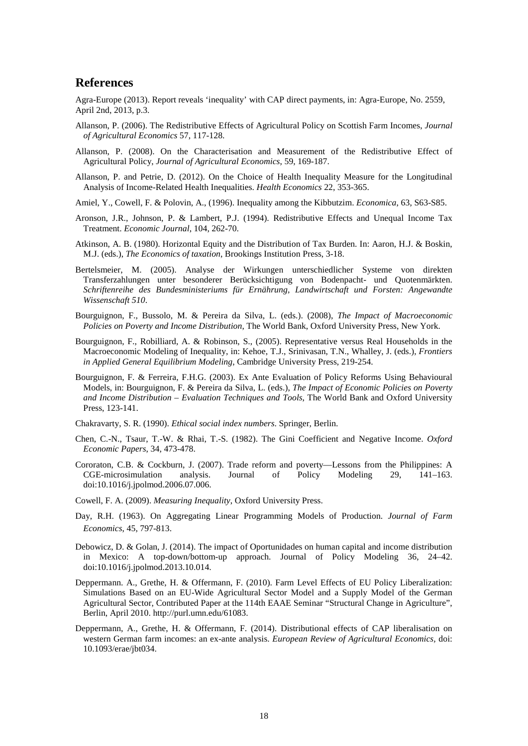### **References**

Agra-Europe (2013). Report reveals 'inequality' with CAP direct payments, in: Agra-Europe, No. 2559, April 2nd, 2013, p.3.

- Allanson, P. (2006). The Redistributive Effects of Agricultural Policy on Scottish Farm Incomes, *Journal of Agricultural Economics* 57, 117-128.
- Allanson, P. (2008). On the Characterisation and Measurement of the Redistributive Effect of Agricultural Policy, *Journal of Agricultural Economics*, 59, 169-187.
- Allanson, P. and Petrie, D. (2012). On the Choice of Health Inequality Measure for the Longitudinal Analysis of Income-Related Health Inequalities. *Health Economics* 22, 353-365.
- Amiel, Y., Cowell, F. & Polovin, A., (1996). Inequality among the Kibbutzim. *Economica*, 63, S63-S85.
- Aronson, J.R., Johnson, P. & Lambert, P.J. (1994). Redistributive Effects and Unequal Income Tax Treatment. *Economic Journal*, 104, 262-70.
- Atkinson, A. B. (1980). Horizontal Equity and the Distribution of Tax Burden. In: Aaron, H.J. & Boskin, M.J. (eds.), *The Economics of taxation*, Brookings Institution Press, 3-18.
- Bertelsmeier, M. (2005). Analyse der Wirkungen unterschiedlicher Systeme von direkten Transferzahlungen unter besonderer Berücksichtigung von Bodenpacht- und Quotenmärkten. *Schriftenreihe des Bundesministeriums für Ernährung, Landwirtschaft und Forsten: Angewandte Wissenschaft 510*.
- Bourguignon, F., Bussolo, M. & Pereira da Silva, L. (eds.). (2008), *The Impact of Macroeconomic Policies on Poverty and Income Distribution*, The World Bank, Oxford University Press, New York.
- Bourguignon, F., Robilliard, A. & Robinson, S., (2005). Representative versus Real Households in the Macroeconomic Modeling of Inequality, in: Kehoe, T.J., Srinivasan, T.N., Whalley, J. (eds.), *Frontiers in Applied General Equilibrium Modeling*, Cambridge University Press, 219-254.
- Bourguignon, F. & Ferreira, F.H.G. (2003). Ex Ante Evaluation of Policy Reforms Using Behavioural Models, in: Bourguignon, F. & Pereira da Silva, L. (eds.), *The Impact of Economic Policies on Poverty and Income Distribution – Evaluation Techniques and Tools*, The World Bank and Oxford University Press, 123-141.
- Chakravarty, S. R. (1990). *Ethical social index numbers*. Springer, Berlin.
- Chen, C.-N., Tsaur, T.-W. & Rhai, T.-S. (1982). The Gini Coefficient and Negative Income. *Oxford Economic Papers*, 34, 473-478.
- Cororaton, C.B. & Cockburn, J. (2007). Trade reform and poverty—Lessons from the Philippines: A CGE-microsimulation analysis. Journal of Policy Modeling 29, 141–163. doi:10.1016/j.jpolmod.2006.07.006.
- Cowell, F. A. (2009). *Measuring Inequality*, Oxford University Press.
- Day, R.H. (1963). On Aggregating Linear Programming Models of Production. *Journal of Farm Economics*, 45, 797-813.
- Debowicz, D. & Golan, J. (2014). The impact of Oportunidades on human capital and income distribution in Mexico: A top-down/bottom-up approach. Journal of Policy Modeling 36, 24–42. doi:10.1016/j.jpolmod.2013.10.014.
- Deppermann. A., Grethe, H. & Offermann, F. (2010). Farm Level Effects of EU Policy Liberalization: Simulations Based on an EU-Wide Agricultural Sector Model and a Supply Model of the German Agricultural Sector, Contributed Paper at the 114th EAAE Seminar "Structural Change in Agriculture", Berlin, April 2010. http://purl.umn.edu/61083.
- Deppermann, A., Grethe, H. & Offermann, F. (2014). Distributional effects of CAP liberalisation on western German farm incomes: an ex-ante analysis. *European Review of Agricultural Economics,* doi: 10.1093/erae/jbt034.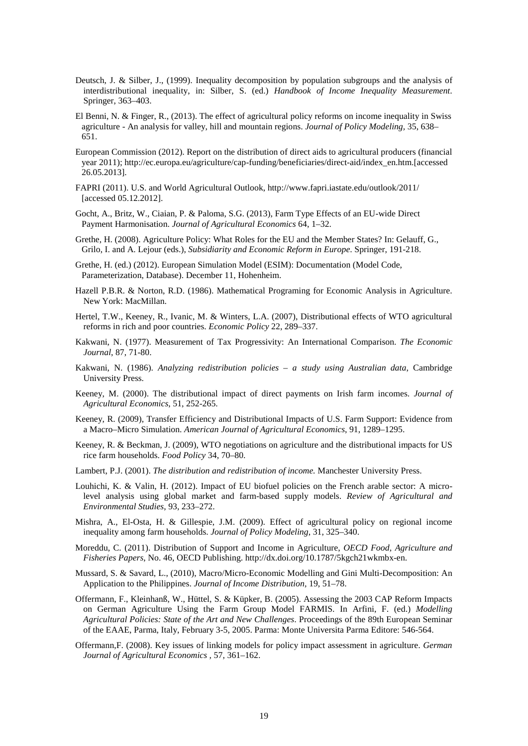- Deutsch, J. & Silber, J., (1999). Inequality decomposition by population subgroups and the analysis of interdistributional inequality, in: Silber, S. (ed.) *Handbook of Income Inequality Measurement*. Springer, 363–403.
- El Benni, N. & Finger, R., (2013). The effect of agricultural policy reforms on income inequality in Swiss agriculture - An analysis for valley, hill and mountain regions. *Journal of Policy Modeling,* 35, 638– 651.
- European Commission (2012). Report on the distribution of direct aids to agricultural producers (financial year 2011); http://ec.europa.eu/agriculture/cap-funding/beneficiaries/direct-aid/index\_en.htm.[accessed 26.05.2013].
- FAPRI (2011). U.S. and World Agricultural Outlook, http://www.fapri.iastate.edu/outlook/2011/ [accessed 05.12.2012].
- Gocht, A., Britz, W., Ciaian, P. & Paloma, S.G. (2013), Farm Type Effects of an EU-wide Direct Payment Harmonisation. *Journal of Agricultural Economics* 64, 1–32.
- Grethe, H. (2008). Agriculture Policy: What Roles for the EU and the Member States? In: Gelauff, G., Grilo, I. and A. Lejour (eds.), *Subsidiarity and Economic Reform in Europe*. Springer, 191-218.
- Grethe, H. (ed.) (2012). European Simulation Model (ESIM): Documentation (Model Code, Parameterization, Database). December 11, Hohenheim.
- Hazell P.B.R. & Norton, R.D. (1986). Mathematical Programing for Economic Analysis in Agriculture. New York: MacMillan.
- Hertel, T.W., Keeney, R., Ivanic, M. & Winters, L.A. (2007), Distributional effects of WTO agricultural reforms in rich and poor countries. *Economic Policy* 22, 289–337.
- Kakwani, N. (1977). Measurement of Tax Progressivity: An International Comparison. *The Economic Journal*, 87, 71-80.
- Kakwani, N. (1986). *Analyzing redistribution policies – a study using Australian data*, Cambridge University Press.
- Keeney, M. (2000). The distributional impact of direct payments on Irish farm incomes. *Journal of Agricultural Economics*, 51, 252-265.
- Keeney, R. (2009), Transfer Efficiency and Distributional Impacts of U.S. Farm Support: Evidence from a Macro–Micro Simulation. *American Journal of Agricultural Economics*, 91, 1289–1295.
- Keeney, R. & Beckman, J. (2009), WTO negotiations on agriculture and the distributional impacts for US rice farm households. *Food Policy* 34, 70–80.
- Lambert, P.J. (2001). *The distribution and redistribution of income.* Manchester University Press.
- Louhichi, K. & Valin, H. (2012). Impact of EU biofuel policies on the French arable sector: A microlevel analysis using global market and farm-based supply models. *Review of Agricultural and Environmental Studies*, 93, 233–272.
- Mishra, A., El-Osta, H. & Gillespie, J.M. (2009). Effect of agricultural policy on regional income inequality among farm households. *Journal of Policy Modeling*, 31, 325–340.
- Moreddu, C. (2011). Distribution of Support and Income in Agriculture, *OECD Food, Agriculture and Fisheries Papers*, No. 46, OECD Publishing. http://dx.doi.org/10.1787/5kgch21wkmbx-en.
- Mussard, S. & Savard, L., (2010), Macro/Micro-Economic Modelling and Gini Multi-Decomposition: An Application to the Philippines. *Journal of Income Distribution,* 19, 51–78.
- Offermann, F., Kleinhanß, W., Hüttel, S. & Küpker, B. (2005). Assessing the 2003 CAP Reform Impacts on German Agriculture Using the Farm Group Model FARMIS. In Arfini, F. (ed.) *Modelling Agricultural Policies: State of the Art and New Challenges*. Proceedings of the 89th European Seminar of the EAAE, Parma, Italy, February 3-5, 2005. Parma: Monte Universita Parma Editore: 546-564.
- Offermann,F. (2008). Key issues of linking models for policy impact assessment in agriculture. *German Journal of Agricultural Economics ,* 57, 361–162.